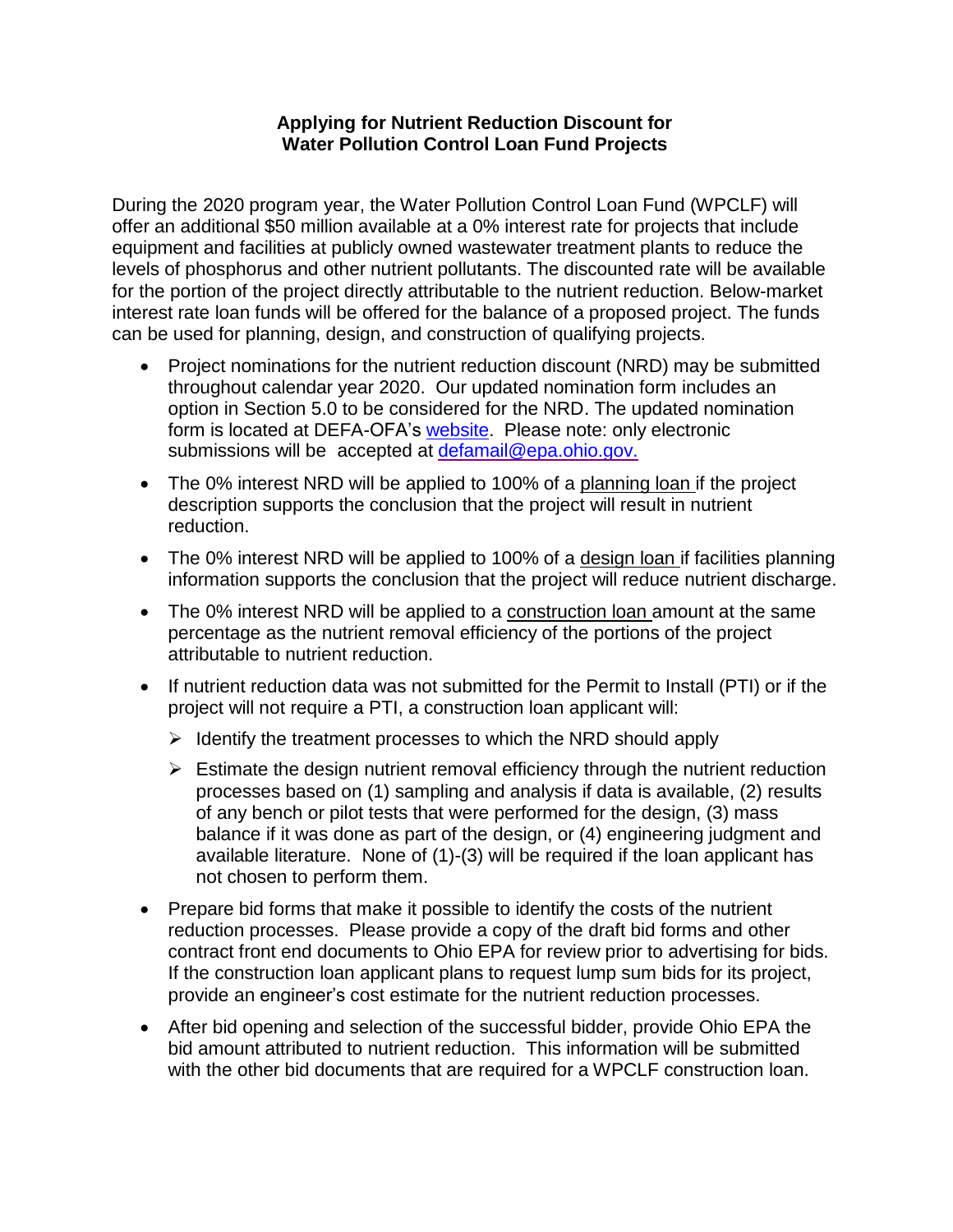## **Applying for Nutrient Reduction Discount for Water Pollution Control Loan Fund Projects**

During the 2020 program year, the Water Pollution Control Loan Fund (WPCLF) will offer an additional \$50 million available at a 0% interest rate for projects that include equipment and facilities at publicly owned wastewater treatment plants to reduce the levels of phosphorus and other nutrient pollutants. The discounted rate will be available for the portion of the project directly attributable to the nutrient reduction. Below-market interest rate loan funds will be offered for the balance of a proposed project. The funds can be used for planning, design, and construction of qualifying projects.

- Project nominations for the nutrient reduction discount (NRD) may be submitted throughout calendar year 2020. Our updated nomination form includes an option in Section 5.0 to be considered for the NRD. The updated nomination form is located at DEFA-OFA's [website.](http://www.epa.state.oh.us/defa/ofa) Please note: only electronic submissions will be accepted at [defamail@epa.ohio.gov.](mailto:defamail@epa.ohio.gov.)
- The 0% interest NRD will be applied to 100% of a planning loan if the project description supports the conclusion that the project will result in nutrient reduction.
- The 0% interest NRD will be applied to 100% of a design loan if facilities planning information supports the conclusion that the project will reduce nutrient discharge.
- The 0% interest NRD will be applied to a construction loan amount at the same percentage as the nutrient removal efficiency of the portions of the project attributable to nutrient reduction.
- If nutrient reduction data was not submitted for the Permit to Install (PTI) or if the project will not require a PTI, a construction loan applicant will:
	- $\triangleright$  Identify the treatment processes to which the NRD should apply
	- $\triangleright$  Estimate the design nutrient removal efficiency through the nutrient reduction processes based on (1) sampling and analysis if data is available, (2) results of any bench or pilot tests that were performed for the design, (3) mass balance if it was done as part of the design, or (4) engineering judgment and available literature. None of (1)-(3) will be required if the loan applicant has not chosen to perform them.
- Prepare bid forms that make it possible to identify the costs of the nutrient reduction processes. Please provide a copy of the draft bid forms and other contract front end documents to Ohio EPA for review prior to advertising for bids. If the construction loan applicant plans to request lump sum bids for its project, provide an engineer's cost estimate for the nutrient reduction processes.
- After bid opening and selection of the successful bidder, provide Ohio EPA the bid amount attributed to nutrient reduction. This information will be submitted with the other bid documents that are required for a WPCLF construction loan.